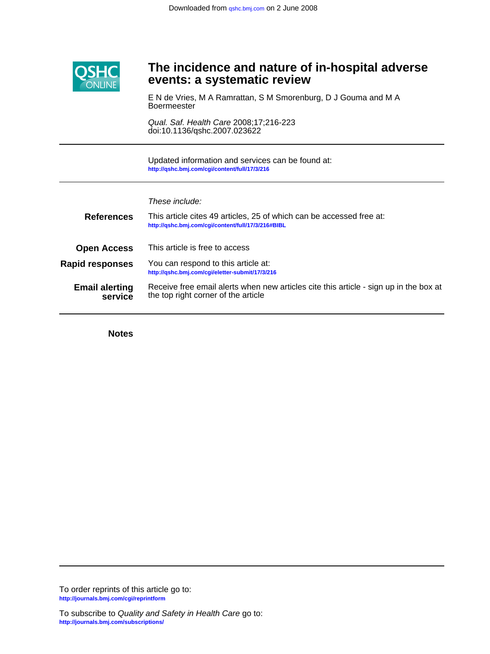

# **events: a systematic review The incidence and nature of in-hospital adverse**

**Boermeester** E N de Vries, M A Ramrattan, S M Smorenburg, D J Gouma and M A

doi:10.1136/qshc.2007.023622 Qual. Saf. Health Care 2008;17;216-223

**<http://qshc.bmj.com/cgi/content/full/17/3/216>** Updated information and services can be found at:

# These include:

| <b>References</b>                | This article cites 49 articles, 25 of which can be accessed free at:<br>http://qshc.bmj.com/cgi/content/full/17/3/216#BIBL   |
|----------------------------------|------------------------------------------------------------------------------------------------------------------------------|
| <b>Open Access</b>               | This article is free to access                                                                                               |
| <b>Rapid responses</b>           | You can respond to this article at:<br>http://qshc.bmj.com/cgi/eletter-submit/17/3/216                                       |
| <b>Email alerting</b><br>service | Receive free email alerts when new articles cite this article - sign up in the box at<br>the top right corner of the article |

**Notes**

**<http://journals.bmj.com/cgi/reprintform>** To order reprints of this article go to: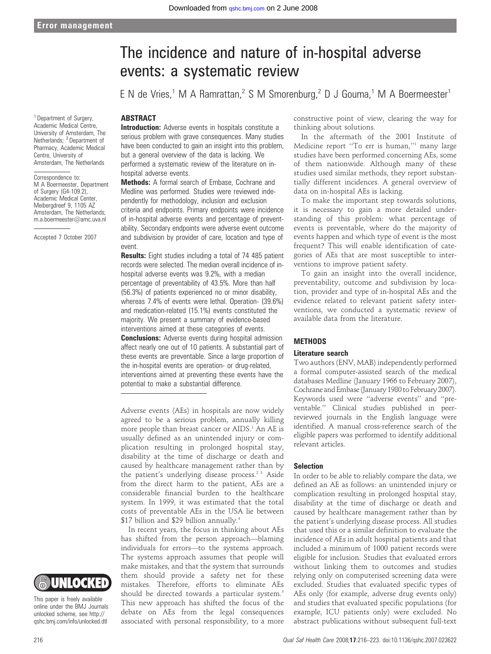#### <sup>1</sup> Department of Surgery Academic Medical Centre, University of Amsterdam, The Netherlands; <sup>2</sup> Department of Pharmacy, Academic Medical Centre, University of Amsterdam, The Netherlands

Correspondence to: M A Boermeester, Department of Surgery (G4-109.2), Academic Medical Center, Meibergdreef 9, 1105 AZ Amsterdam, The Netherlands; m.a.boermeester@amc.uva.nl

Accepted 7 October 2007

# The incidence and nature of in-hospital adverse events: a systematic review

E N de Vries,<sup>1</sup> M A Ramrattan,<sup>2</sup> S M Smorenburg,<sup>2</sup> D J Gouma,<sup>1</sup> M A Boermeester<sup>1</sup>

# **ABSTRACT**

**Introduction:** Adverse events in hospitals constitute a serious problem with grave consequences. Many studies have been conducted to gain an insight into this problem. but a general overview of the data is lacking. We performed a systematic review of the literature on inhospital adverse events.

Methods: A formal search of Embase, Cochrane and Medline was performed. Studies were reviewed independently for methodology, inclusion and exclusion criteria and endpoints. Primary endpoints were incidence of in-hospital adverse events and percentage of preventability. Secondary endpoints were adverse event outcome and subdivision by provider of care, location and type of event.

**Results:** Eight studies including a total of 74 485 patient records were selected. The median overall incidence of inhospital adverse events was 9.2%, with a median percentage of preventability of 43.5%. More than half (56.3%) of patients experienced no or minor disability, whereas 7.4% of events were lethal. Operation- (39.6%) and medication-related (15.1%) events constituted the majority. We present a summary of evidence-based interventions aimed at these categories of events.

**Conclusions:** Adverse events during hospital admission affect nearly one out of 10 patients. A substantial part of these events are preventable. Since a large proportion of the in-hospital events are operation- or drug-related, interventions aimed at preventing these events have the potential to make a substantial difference.

Adverse events (AEs) in hospitals are now widely agreed to be a serious problem, annually killing more people than breast cancer or AIDS.<sup>1</sup> An AE is usually defined as an unintended injury or complication resulting in prolonged hospital stay, disability at the time of discharge or death and caused by healthcare management rather than by the patient's underlying disease process.<sup>2 3</sup> Aside from the direct harm to the patient, AEs are a considerable financial burden to the healthcare system. In 1999, it was estimated that the total costs of preventable AEs in the USA lie between \$17 billion and \$29 billion annually.4

In recent years, the focus in thinking about AEs has shifted from the person approach—blaming individuals for errors—to the systems approach. The systems approach assumes that people will make mistakes, and that the system that surrounds them should provide a safety net for these mistakes. Therefore, efforts to eliminate AEs should be directed towards a particular system.<sup>5</sup> This new approach has shifted the focus of the debate on AEs from the legal consequences associated with personal responsibility, to a more constructive point of view, clearing the way for thinking about solutions.

In the aftermath of the 2001 Institute of Medicine report ''To err is human,''1 many large studies have been performed concerning AEs, some of them nationwide. Although many of these studies used similar methods, they report substantially different incidences. A general overview of data on in-hospital AEs is lacking.

To make the important step towards solutions, it is necessary to gain a more detailed understanding of this problem: what percentage of events is preventable, where do the majority of events happen and which type of event is the most frequent? This will enable identification of categories of AEs that are most susceptible to interventions to improve patient safety.

To gain an insight into the overall incidence, preventability, outcome and subdivision by location, provider and type of in-hospital AEs and the evidence related to relevant patient safety interventions, we conducted a systematic review of available data from the literature.

# METHODS

#### Literature search

Two authors (ENV, MAB) independently performed a formal computer-assisted search of the medical databases Medline (January 1966 to February 2007), Cochrane and Embase (January 1980 to February 2007). Keywords used were ''adverse events'' and ''preventable.'' Clinical studies published in peerreviewed journals in the English language were identified. A manual cross-reference search of the eligible papers was performed to identify additional relevant articles.

#### Selection

In order to be able to reliably compare the data, we defined an AE as follows: an unintended injury or complication resulting in prolonged hospital stay, disability at the time of discharge or death and caused by healthcare management rather than by the patient's underlying disease process. All studies that used this or a similar definition to evaluate the incidence of AEs in adult hospital patients and that included a minimum of 1000 patient records were eligible for inclusion. Studies that evaluated errors without linking them to outcomes and studies relying only on computerised screening data were excluded. Studies that evaluated specific types of AEs only (for example, adverse drug events only) and studies that evaluated specific populations (for example, ICU patients only) were excluded. No abstract publications without subsequent full-text



This paper is freely available online under the BMJ Journals unlocked scheme, see http:// qshc.bmj.com/info/unlocked.dtl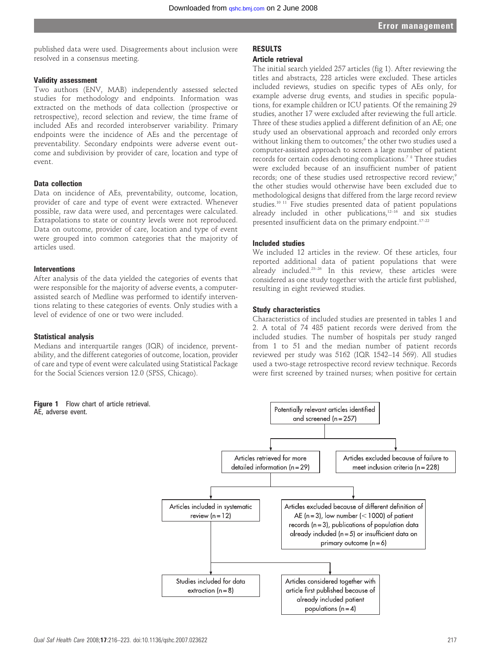published data were used. Disagreements about inclusion were resolved in a consensus meeting.

#### Validity assessment

Two authors (ENV, MAB) independently assessed selected studies for methodology and endpoints. Information was extracted on the methods of data collection (prospective or retrospective), record selection and review, the time frame of included AEs and recorded interobserver variability. Primary endpoints were the incidence of AEs and the percentage of preventability. Secondary endpoints were adverse event outcome and subdivision by provider of care, location and type of event.

#### Data collection

Data on incidence of AEs, preventability, outcome, location, provider of care and type of event were extracted. Whenever possible, raw data were used, and percentages were calculated. Extrapolations to state or country levels were not reproduced. Data on outcome, provider of care, location and type of event were grouped into common categories that the majority of articles used.

#### Interventions

After analysis of the data yielded the categories of events that were responsible for the majority of adverse events, a computerassisted search of Medline was performed to identify interventions relating to these categories of events. Only studies with a level of evidence of one or two were included.

#### Statistical analysis

Medians and interquartile ranges (IQR) of incidence, preventability, and the different categories of outcome, location, provider of care and type of event were calculated using Statistical Package for the Social Sciences version 12.0 (SPSS, Chicago).

Figure 1 Flow chart of article retrieval. AE, adverse event.

# RESULTS

# Article retrieval

The initial search yielded 257 articles (fig 1). After reviewing the titles and abstracts, 228 articles were excluded. These articles included reviews, studies on specific types of AEs only, for example adverse drug events, and studies in specific populations, for example children or ICU patients. Of the remaining 29 studies, another 17 were excluded after reviewing the full article. Three of these studies applied a different definition of an AE; one study used an observational approach and recorded only errors without linking them to outcomes;<sup>6</sup> the other two studies used a computer-assisted approach to screen a large number of patient records for certain codes denoting complications.7 8 Three studies were excluded because of an insufficient number of patient records; one of these studies used retrospective record review;<sup>9</sup> the other studies would otherwise have been excluded due to methodological designs that differed from the large record review studies.10 11 Five studies presented data of patient populations already included in other publications, $12-16$  and six studies presented insufficient data on the primary endpoint.<sup>17-22</sup>

#### Included studies

We included 12 articles in the review. Of these articles, four reported additional data of patient populations that were already included.23–26 In this review, these articles were considered as one study together with the article first published, resulting in eight reviewed studies.

#### Study characteristics

Characteristics of included studies are presented in tables 1 and 2. A total of 74 485 patient records were derived from the included studies. The number of hospitals per study ranged from 1 to 51 and the median number of patient records reviewed per study was 5162 (IQR 1542–14 569). All studies used a two-stage retrospective record review technique. Records were first screened by trained nurses; when positive for certain

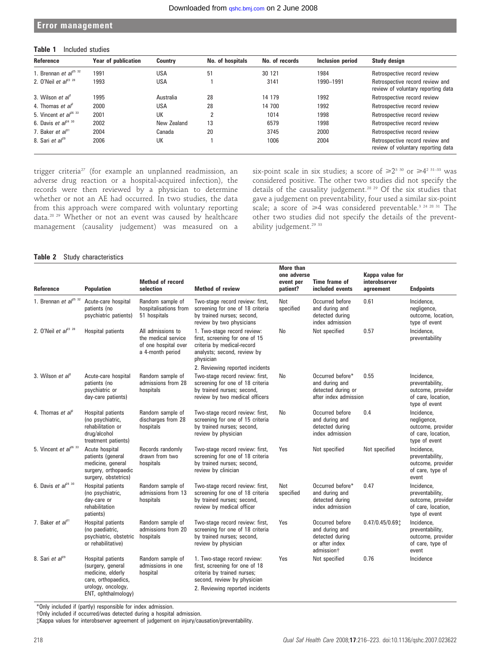#### Error management

# Table 1 Included studies

| Reference                              | <b>Year of publication</b> | <b>Country</b> | No. of hospitals | No. of records | Inclusion period | Study design                                                          |
|----------------------------------------|----------------------------|----------------|------------------|----------------|------------------|-----------------------------------------------------------------------|
| 1. Brennan et $a^{25}$ 32              | 1991                       | <b>USA</b>     | 51               | 30 121         | 1984             | Retrospective record review                                           |
| 2. O'Neil et $al^{23}$ $28$            | 1993                       | <b>USA</b>     |                  | 3141           | 1990-1991        | Retrospective record review and<br>review of voluntary reporting data |
| 3. Wilson et $a^{\beta}$               | 1995                       | Australia      | 28               | 14 179         | 1992             | Retrospective record review                                           |
| 4. Thomas <i>et al</i> <sup>2</sup>    | 2000                       | <b>USA</b>     | 28               | 14 700         | 1992             | Retrospective record review                                           |
| 5. Vincent et $al^{26}$ 33             | 2001                       | UK             |                  | 1014           | 1998             | Retrospective record review                                           |
| 6. Davis <i>et al</i> <sup>24 30</sup> | 2002                       | New Zealand    | 13               | 6579           | 1998             | Retrospective record review                                           |
| 7. Baker et $a^{\beta}$ <sup>1</sup>   | 2004                       | Canada         | 20               | 3745           | 2000             | Retrospective record review                                           |
| 8. Sari et $a^{29}$                    | 2006                       | UK             |                  | 1006           | 2004             | Retrospective record review and<br>review of voluntary reporting data |

trigger criteria<sup>27</sup> (for example an unplanned readmission, an adverse drug reaction or a hospital-acquired infection), the records were then reviewed by a physician to determine whether or not an AE had occurred. In two studies, the data from this approach were compared with voluntary reporting data.28 29 Whether or not an event was caused by healthcare management (causality judgement) was measured on a six-point scale in six studies; a score of  $\geq 2^{3.30}$  or  $\geq 4^{2.31-33}$  was considered positive. The other two studies did not specify the details of the causality judgement.28 29 Of the six studies that gave a judgement on preventability, four used a similar six-point scale; a score of  $\geq 4$  was considered preventable.<sup>3 24 28 31</sup> The other two studies did not specify the details of the preventability judgement.<sup>29</sup> 33

#### Table 2 Study characteristics

| Reference                            | <b>Population</b>                                                                                                                      | <b>Method of record</b><br>selection                                                 | <b>Method of review</b>                                                                                                                                        | <b>More than</b><br>one adverse<br>event per<br>patient? | Time frame of<br>included events                                                                 | Kappa value for<br>interobserver<br>agreement | <b>Endpoints</b>                                                                          |
|--------------------------------------|----------------------------------------------------------------------------------------------------------------------------------------|--------------------------------------------------------------------------------------|----------------------------------------------------------------------------------------------------------------------------------------------------------------|----------------------------------------------------------|--------------------------------------------------------------------------------------------------|-----------------------------------------------|-------------------------------------------------------------------------------------------|
| 1. Brennan et $al^{25}$ 32           | Acute-care hospital<br>patients (no<br>psychiatric patients)                                                                           | Random sample of<br>hospitalisations from<br>51 hospitals                            | Two-stage record review: first,<br>screening for one of 18 criteria<br>by trained nurses; second,<br>review by two physicians                                  | Not<br>specified                                         | Occurred before<br>and during and<br>detected during<br>index admission                          | 0.61                                          | Incidence.<br>negligence,<br>outcome, location,<br>type of event                          |
| 2. O'Neil et $al^{23}$ $28$          | <b>Hospital patients</b>                                                                                                               | All admissions to<br>the medical service<br>of one hospital over<br>a 4-month period | 1. Two-stage record review:<br>first, screening for one of 15<br>criteria by medical-record<br>analysts; second, review by<br>physician                        | No                                                       | Not specified                                                                                    | 0.57                                          | Incidence,<br>preventability                                                              |
|                                      |                                                                                                                                        |                                                                                      | 2. Reviewing reported incidents                                                                                                                                |                                                          |                                                                                                  |                                               |                                                                                           |
| 3. Wilson et al                      | Acute-care hospital<br>patients (no<br>psychiatric or<br>day-care patients)                                                            | Random sample of<br>admissions from 28<br>hospitals                                  | Two-stage record review: first,<br>screening for one of 18 criteria<br>by trained nurses; second,<br>review by two medical officers                            | No                                                       | Occurred before*<br>and during and<br>detected during or<br>after index admission                | 0.55                                          | Incidence.<br>preventability,<br>outcome, provider<br>of care, location,<br>type of event |
| 4. Thomas et $a^2$                   | Hospital patients<br>(no psychiatric,<br>rehabilitation or<br>drug/alcohol<br>treatment patients)                                      | Random sample of<br>discharges from 28<br>hospitals                                  | Two-stage record review: first,<br>screening for one of 15 criteria<br>by trained nurses; second,<br>review by physician                                       | No                                                       | Occurred before<br>and during and<br>detected during<br>index admission                          | 0.4                                           | Incidence.<br>negligence,<br>outcome, provider<br>of care, location,<br>type of event     |
| 5. Vincent et $al^{26}$ 33           | Acute hospital<br>patients (general<br>medicine, general<br>surgery, orthopaedic<br>surgery, obstetrics)                               | Records randomly<br>drawn from two<br>hospitals                                      | Two-stage record review: first,<br>screening for one of 18 criteria<br>by trained nurses; second,<br>review by clinician                                       | Yes                                                      | Not specified                                                                                    | Not specified                                 | Incidence,<br>preventability,<br>outcome, provider<br>of care, type of<br>event           |
| 6. Davis et $al^{24}$ 30             | <b>Hospital patients</b><br>(no psychiatric,<br>dav-care or<br>rehabilitation<br>patients)                                             | Random sample of<br>admissions from 13<br>hospitals                                  | Two-stage record review: first,<br>screening for one of 18 criteria<br>by trained nurses; second,<br>review by medical officer                                 | Not<br>specified                                         | Occurred before*<br>and during and<br>detected during<br>index admission                         | 0.47                                          | Incidence,<br>preventability,<br>outcome, provider<br>of care, location,<br>type of event |
| 7. Baker et $a^{\beta}$ <sup>1</sup> | Hospital patients<br>(no paediatric,<br>psychiatric, obstetric<br>or rehabilitative)                                                   | Random sample of<br>admissions from 20<br>hospitals                                  | Two-stage record review: first,<br>screening for one of 18 criteria<br>by trained nurses; second,<br>review by physician                                       | Yes                                                      | Occurred before<br>and during and<br>detected during<br>or after index<br>admission <sup>+</sup> | $0.47/0.45/0.69$ :                            | Incidence.<br>preventability,<br>outcome, provider<br>of care, type of<br>event           |
| 8. Sari et $a^{29}$                  | <b>Hospital patients</b><br>(surgery, general<br>medicine, elderly<br>care, orthopaedics,<br>urology, oncology,<br>ENT, ophthalmology) | Random sample of<br>admissions in one<br>hospital                                    | 1. Two-stage record review:<br>first, screening for one of 18<br>criteria by trained nurses;<br>second, review by physician<br>2. Reviewing reported incidents | Yes                                                      | Not specified                                                                                    | 0.76                                          | Incidence                                                                                 |

\*Only included if (partly) responsible for index admission.

{Only included if occurred/was detected during a hospital admission.

{Kappa values for interobserver agreement of judgement on injury/causation/preventability.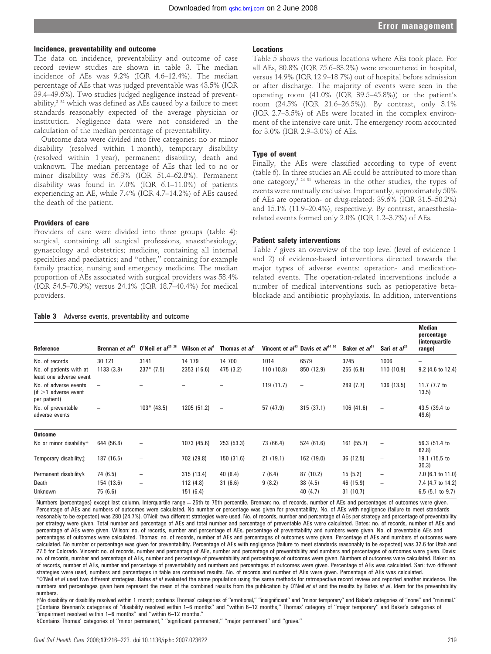# Incidence, preventability and outcome

The data on incidence, preventability and outcome of case record review studies are shown in table 3. The median incidence of AEs was 9.2% (IQR 4.6–12.4%). The median percentage of AEs that was judged preventable was 43.5% (IQR 39.4–49.6%). Two studies judged negligence instead of preventability,2 32 which was defined as AEs caused by a failure to meet standards reasonably expected of the average physician or institution. Negligence data were not considered in the calculation of the median percentage of preventability.

Outcome data were divided into five categories: no or minor disability (resolved within 1 month), temporary disability (resolved within 1 year), permanent disability, death and unknown. The median percentage of AEs that led to no or minor disability was 56.3% (IQR 51.4–62.8%). Permanent disability was found in 7.0% (IQR 6.1–11.0%) of patients experiencing an AE, while 7.4% (IQR 4.7–14.2%) of AEs caused the death of the patient.

### Providers of care

Providers of care were divided into three groups (table 4): surgical, containing all surgical professions, anaesthesiology, gynaecology and obstetrics; medicine, containing all internal specialties and paediatrics; and ''other,'' containing for example family practice, nursing and emergency medicine. The median proportion of AEs associated with surgical providers was 58.4% (IQR 54.5–70.9%) versus 24.1% (IQR 18.7–40.4%) for medical providers.

Table 3 Adverse events, preventability and outcome

# **Locations**

Table 5 shows the various locations where AEs took place. For all AEs, 80.8% (IQR 75.6–83.2%) were encountered in hospital, versus 14.9% (IQR 12.9–18.7%) out of hospital before admission or after discharge. The majority of events were seen in the operating room (41.0% (IQR 39.5–45.8%)) or the patient's room (24.5% (IQR 21.6–26.5%)). By contrast, only 3.1% (IQR 2.7–3.5%) of AEs were located in the complex environment of the intensive care unit. The emergency room accounted for 3.0% (IQR 2.9–3.0%) of AEs.

#### Type of event

Finally, the AEs were classified according to type of event (table 6). In three studies an AE could be attributed to more than one category, $3^{24}$  31 whereas in the other studies, the types of events were mutually exclusive. Importantly, approximately 50% of AEs are operation- or drug-related: 39.6% (IQR 31.5–50.2%) and 15.1% (11.9–20.4%), respectively. By contrast, anaesthesiarelated events formed only 2.0% (IQR 1.2–3.7%) of AEs.

#### Patient safety interventions

Table 7 gives an overview of the top level (level of evidence 1 and 2) of evidence-based interventions directed towards the major types of adverse events: operation- and medicationrelated events. The operation-related interventions include a number of medical interventions such as perioperative betablockade and antibiotic prophylaxis. In addition, interventions

| Reference                                                       | Brennan <i>et al</i> <sup>32</sup> | O'Neil et al <sup>23 28</sup> | Wilson <i>et al</i> <sup>3</sup> | Thomas <i>et al</i> <sup>2</sup> |            | Vincent et al <sup>33</sup> Davis et al <sup>24 30</sup> | Baker <i>et</i> $a^{31}$ | Sari et $al^{29}$        | <b>Median</b><br>percentage<br><i>(interquartile)</i><br>range) |
|-----------------------------------------------------------------|------------------------------------|-------------------------------|----------------------------------|----------------------------------|------------|----------------------------------------------------------|--------------------------|--------------------------|-----------------------------------------------------------------|
| No. of records                                                  | 30 121                             | 3141                          | 14 179                           | 14 700                           | 1014       | 6579                                                     | 3745                     | 1006                     |                                                                 |
| No. of patients with at<br>least one adverse event              | 1133(3.8)                          | $237*$ (7.5)                  | 2353 (16.6)                      | 475(3.2)                         | 110 (10.8) | 850 (12.9)                                               | 255(6.8)                 | 110(10.9)                | 9.2 (4.6 to 12.4)                                               |
| No. of adverse events<br>$(f > 1$ adverse event<br>per patient) | -                                  |                               |                                  |                                  | 119(11.7)  | $\overline{\phantom{m}}$                                 | 289(7.7)                 | 136 (13.5)               | 11.7 $(7.7)$ to<br>13.5)                                        |
| No. of preventable<br>adverse events                            |                                    | $103* (43.5)$                 | 1205 (51.2)                      | $\overline{\phantom{m}}$         | 57 (47.9)  | 315(37.1)                                                | 106(41.6)                | $\overline{\phantom{0}}$ | 43.5 (39.4 to<br>49.6)                                          |
| <b>Outcome</b>                                                  |                                    |                               |                                  |                                  |            |                                                          |                          |                          |                                                                 |
| No or minor disability†                                         | 644 (56.8)                         | $\overline{\phantom{0}}$      | 1073 (45.6)                      | 253 (53.3)                       | 73 (66.4)  | 524 (61.6)                                               | 161(55.7)                | $\overline{\phantom{0}}$ | 56.3 (51.4 to<br>62.8)                                          |
| Temporary disability:                                           | 187 (16.5)                         | -                             | 702 (29.8)                       | 150 (31.6)                       | 21(19.1)   | 162 (19.0)                                               | 36 (12.5)                | -                        | 19.1 (15.5 to<br>30.3)                                          |
| Permanent disability §                                          | 74 (6.5)                           | -                             | 315(13.4)                        | 40(8.4)                          | 7(6.4)     | 87 (10.2)                                                | 15(5.2)                  | -                        | $7.0$ (6.1 to 11.0)                                             |
| Death                                                           | 154 (13.6)                         | $\qquad \qquad -$             | 112(4.8)                         | 31(6.6)                          | 9(8.2)     | 38(4.5)                                                  | 46 (15.9)                | -                        | 7.4 (4.7 to 14.2)                                               |
| <b>Unknown</b>                                                  | 75 (6.6)                           | -                             | 151(6.4)                         | $\qquad \qquad -$                |            | 40 (4.7)                                                 | 31(10.7)                 | -                        | $6.5$ (5.1 to 9.7)                                              |

Numbers (percentages) except last column. Interquartile range = 25th to 75th percentile. Brennan: no. of records, number of AEs and percentages of outcomes were given. Percentage of AEs and numbers of outcomes were calculated. No number or percentage was given for preventability. No. of AEs with negligence (failure to meet standards reasonably to be expected) was 280 (24.7%). O'Neil: two different strategies were used. No. of records, number and percentage of AEs per strategy and percentage of preventability per strategy were given. Total number and percentage of AEs and total number and percentage of preventable AEs were calculated. Bates: no. of records, number of AEs and percentage of AEs were given. Wilson: no. of records, number and percentage of AEs, percentage of preventability and numbers were given. No. of preventable AEs and percentages of outcomes were calculated. Thomas: no. of records, number of AEs and percentages of outcomes were given. Percentage of AEs and numbers of outcomes were

calculated. No number or percentage was given for preventability. Percentage of AEs with negligence (failure to meet standards reasonably to be expected) was 32.6 for Utah and 27.5 for Colorado. Vincent: no. of records, number and percentage of AEs, number and percentage of preventability and numbers and percentages of outcomes were given. Davis: no. of records, number and percentage of AEs, number and percentage of preventability and percentages of outcomes were given. Numbers of outcomes were calculated. Baker: no. of records, number of AEs, number and percentage of preventability and numbers and percentages of outcomes were given. Percentage of AEs was calculated. Sari: two different strategies were used, numbers and percentages in table are combined results. No. of records and number of AEs were given. Percentage of AEs was calculated.

\*O'Neil et al used two different strategies. Bates et al evaluated the same population using the same methods for retrospective record review and reported another incidence. The numbers and percentages given here represent the mean of the combined results from the publication by O'Neil et al and the results by Bates et al. Idem for the preventability numbers.

{No disability or disability resolved within 1 month; contains Thomas' categories of ''emotional,'' ''insignificant'' and ''minor temporary'' and Baker's categories of ''none'' and ''minimal.'' {Contains Brennan's categories of ''disability resolved within 1–6 months'' and ''within 6–12 months,'' Thomas' category of ''major temporary'' and Baker's categories of ''impairment resolved within 1–6 months'' and ''within 6–12 months.''

1Contains Thomas' categories of ''minor permanent,'' ''significant permanent,'' ''major permanent'' and ''grave.''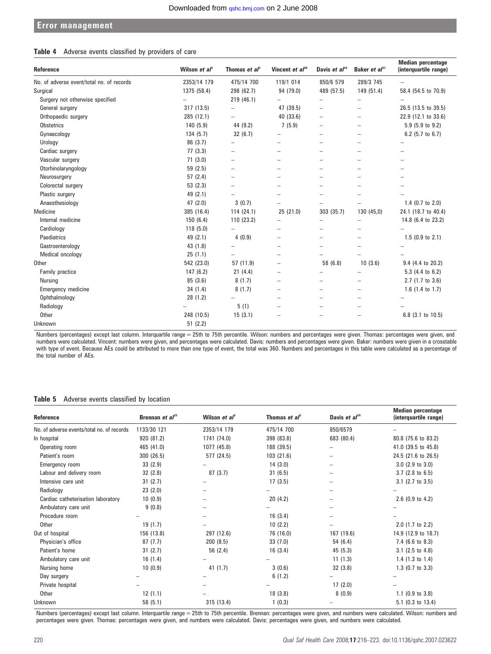# Error management

### Table 4 Adverse events classified by providers of care

| Reference                                 | Wilson et $a^3$ | Thomas et $al^2$         | Vincent et $al^{26}$     | Davis et $al^{24}$       | Baker et al <sup>31</sup> | <b>Median percentage</b><br>(interquartile range) |
|-------------------------------------------|-----------------|--------------------------|--------------------------|--------------------------|---------------------------|---------------------------------------------------|
| No. of adverse event/total no. of records | 2353/14 179     | 475/14 700               | 119/1 014                | 850/6 579                | 289/3 745                 |                                                   |
| Surgical                                  | 1375 (58.4)     | 298 (62.7)               | 94 (79.0)                | 489 (57.5)               | 149 (51.4)                | 58.4 (54.5 to 70.9)                               |
| Surgery not otherwise specified           |                 | 219(46.1)                |                          | $\overline{\phantom{m}}$ | -                         |                                                   |
| General surgery                           | 317 (13.5)      | ÷                        | 47 (39.5)                | $\overline{\phantom{0}}$ | -                         | 26.5 (13.5 to 39.5)                               |
| Orthopaedic surgery                       | 285 (12.1)      |                          | 40 (33.6)                | $\overline{\phantom{0}}$ | -                         | 22.9 (12.1 to 33.6)                               |
| <b>Obstetrics</b>                         | 140(5.9)        | 44 (9.2)                 | 7(5.9)                   | $\overline{\phantom{0}}$ | -                         | 5.9 (5.9 to 9.2)                                  |
| Gynaecology                               | 134(5.7)        | 32(6.7)                  |                          | $\equiv$                 |                           | 6.2 (5.7 to $6.7$ )                               |
| Urology                                   | 86 (3.7)        |                          |                          | -                        |                           |                                                   |
| Cardiac surgery                           | 77(3.3)         | $\overline{\phantom{0}}$ |                          |                          |                           |                                                   |
| Vascular surgery                          | 71(3.0)         | $\overline{\phantom{0}}$ |                          | $\equiv$                 | -                         |                                                   |
| Otorhinolaryngology                       | 59 (2.5)        | -                        | -                        | -                        | -                         |                                                   |
| Neurosurgery                              | 57(2.4)         |                          |                          |                          |                           |                                                   |
| Colorectal surgery                        | 53(2.3)         |                          |                          |                          |                           |                                                   |
| Plastic surgery                           | 49 (2.1)        |                          |                          |                          |                           |                                                   |
| Anaesthesiology                           | 47(2.0)         | 3(0.7)                   |                          |                          |                           | 1.4 (0.7 to $2.0$ )                               |
| Medicine                                  | 385 (16.4)      | 114(24.1)                | 25 (21.0)                | 303 (35.7)               | 130 (45,0)                | 24.1 (18.7 to 40.4)                               |
| Internal medicine                         | 150(6.4)        | 110(23.2)                |                          | -                        |                           | 14.8 (6.4 to 23.2)                                |
| Cardiology                                | 118(5.0)        | $\overline{\phantom{0}}$ |                          | $\overline{\phantom{0}}$ |                           |                                                   |
| Paediatrics                               | 49 (2.1)        | 4(0.9)                   |                          |                          |                           | $1.5$ (0.9 to 2.1)                                |
| Gastroenterology                          | 43(1.8)         |                          |                          |                          |                           |                                                   |
| Medical oncology                          | 25(1.1)         |                          | $\equiv$                 |                          |                           |                                                   |
| <b>Other</b>                              | 542 (23.0)      | 57 (11.9)                |                          | 58 (6.8)                 | 10(3.6)                   | 9.4 (4.4 to 20.2)                                 |
| Family practice                           | 147(6.2)        | 21(4.4)                  |                          |                          |                           | 5.3 (4.4 to 6.2)                                  |
| Nursing                                   | 85(3.6)         | 8(1.7)                   |                          |                          |                           | 2.7 (1.7 to 3.6)                                  |
| Emergency medicine                        | 34(1.4)         | 8(1.7)                   |                          | -                        | -                         | 1.6 $(1.4$ to 1.7)                                |
| Ophthalmology                             | 28(1.2)         |                          | $\overline{\phantom{0}}$ | -                        | -                         |                                                   |
| Radiology                                 |                 | 5(1)                     |                          | $\equiv$                 |                           |                                                   |
| <b>Other</b>                              | 248 (10.5)      | 15(3.1)                  |                          |                          |                           | 6.8 (3.1 to 10.5)                                 |
| Unknown                                   | 51(2.2)         |                          |                          |                          |                           |                                                   |

Numbers (percentages) except last column. Interquartile range = 25th to 75th percentile. Wilson: numbers and percentages were given. Thomas: percentages were given, and numbers were calculated. Vincent: numbers were given, and percentages were calculated. Davis: numbers and percentages were given. Baker: numbers were given in a crosstable with type of event. Because AEs could be attributed to more than one type of event, the total was 360. Numbers and percentages in this table were calculated as a percentage of the total number of AEs.

# Table 5 Adverse events classified by location

| Reference                                  | Brennan et $al^{25}$ | Wilson et $a^3$ | Thomas et $a^2$ | Davis et $al24$ | <b>Median percentage</b><br>(interquartile range) |
|--------------------------------------------|----------------------|-----------------|-----------------|-----------------|---------------------------------------------------|
|                                            |                      |                 | 475/14 700      |                 |                                                   |
| No. of adverse events/total no. of records | 1133/30 121          | 2353/14 179     |                 | 850/6579        |                                                   |
| In hospital                                | 920 (81.2)           | 1741 (74.0)     | 398 (83.8)      | 683 (80.4)      | 80.8 (75.6 to 83.2)                               |
| Operating room                             | 465 (41.0)           | 1077 (45.8)     | 188 (39.5)      | -               | 41.0 (39.5 to 45.8)                               |
| Patient's room                             | 300 (26.5)           | 577 (24.5)      | 103 (21.6)      | -               | 24.5 (21.6 to 26.5)                               |
| Emergency room                             | 33(2.9)              |                 | 14(3.0)         |                 | $3.0$ (2.9 to $3.0$ )                             |
| Labour and delivery room                   | 32(2.8)              | 87(3.7)         | 31(6.5)         |                 | $3.7$ (2.8 to 6.5)                                |
| Intensive care unit                        | 31(2.7)              |                 | 17(3.5)         |                 | $3.1$ (2.7 to $3.5$ )                             |
| Radiology                                  | 23(2.0)              |                 |                 |                 |                                                   |
| Cardiac catheterisation laboratory         | 10(0.9)              |                 | 20(4.2)         | -               | $2.6$ (0.9 to 4.2)                                |
| Ambulatory care unit                       | 9(0.8)               |                 |                 |                 |                                                   |
| Procedure room                             |                      |                 | 16(3.4)         |                 |                                                   |
| Other                                      | 19(1.7)              |                 | 10(2.2)         |                 | 2.0 (1.7 to 2.2)                                  |
| Out of hospital                            | 156 (13.8)           | 297 (12.6)      | 76 (16.0)       | 167 (19.6)      | 14.9 (12.9 to 18.7)                               |
| Physician's office                         | 87(7.7)              | 200(8.5)        | 33(7.0)         | 54 (6.4)        | 7.4 (6.6 to 8.3)                                  |
| Patient's home                             | 31(2.7)              | 56 (2.4)        | 16(3.4)         | 45 (5.3)        | $3.1$ (2.5 to 4.8)                                |
| Ambulatory care unit                       | 16(1.4)              |                 |                 | 11(1.3)         | 1.4 $(1.3 \text{ to } 1.4)$                       |
| Nursing home                               | 10(0.9)              | 41(1.7)         | 3(0.6)          | 32(3.8)         | $1.3$ (0.7 to 3.3)                                |
| Day surgery                                |                      |                 | 6(1.2)          |                 |                                                   |
| Private hospital                           |                      |                 |                 | 17(2.0)         |                                                   |
| Other                                      | 12(1.1)              |                 | 18 (3.8)        | 8(0.9)          | $1.1$ (0.9 to 3.8)                                |
| Unknown                                    | 58(5.1)              | 315 (13.4)      | 1(0.3)          |                 | 5.1 (0.3 to 13.4)                                 |

Numbers (percentages) except last column. Interquartile range = 25th to 75th percentile. Brennan: percentages were given, and numbers were calculated. Wilson: numbers and percentages were given. Thomas: percentages were given, and numbers were calculated. Davis: percentages were given, and numbers were calculated.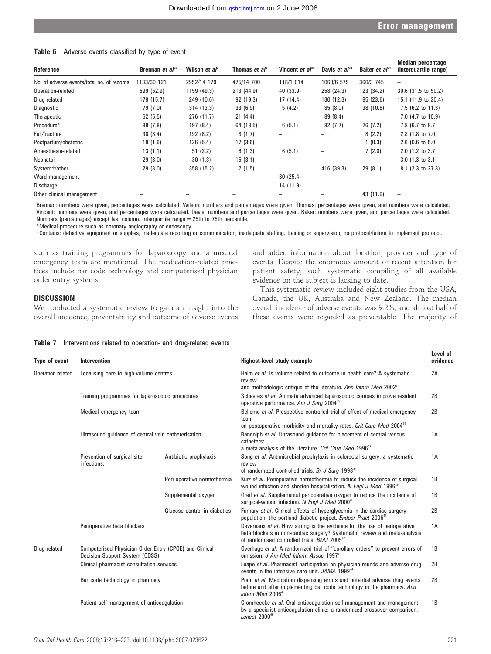| Table 6 Adverse events classified by type of event |  |  |  |  |  |
|----------------------------------------------------|--|--|--|--|--|
|----------------------------------------------------|--|--|--|--|--|

| Reference                                  | Brennan <i>et al</i> <sup>25</sup> | Wilson et al <sup>3</sup> | Thomas <i>et al</i> <sup>2</sup> | Vincent <i>et al</i> <sup>26</sup> | Davis et $al^{24}$       | Baker <i>et</i> $a^{31}$ | <b>Median percentage</b><br>(interguartile range) |
|--------------------------------------------|------------------------------------|---------------------------|----------------------------------|------------------------------------|--------------------------|--------------------------|---------------------------------------------------|
| No. of adverse events/total no. of records | 1133/30 121                        | 2952/14 179               | 475/14 700                       | 118/1 014                          | 1060/6 579               | 360/3 745                | $\qquad \qquad -$                                 |
| Operation-related                          | 599 (52.9)                         | 1159 (49.3)               | 213 (44.9)                       | 40 (33.9)                          | 258 (24.3)               | 123 (34.2)               | 39.6 (31.5 to 50.2)                               |
| Drug-related                               | 178 (15.7)                         | 249 (10.6)                | 92 (19.3)                        | 17(14.4)                           | 130 (12.3)               | 85 (23.6)                | 15.1 (11.9 to 20.4)                               |
| Diagnostic                                 | 79 (7.0)                           | 314 (13.3)                | 33(6.9)                          | 5(4.2)                             | 85(8.0)                  | 38 (10.6)                | $7.5$ (6.2 to 11.3)                               |
| Therapeutic                                | 62(5.5)                            | 276 (11.7)                | 21(4.4)                          | $\overline{\phantom{0}}$           | 89 (8.4)                 | -                        | 7.0 (4.7 to 10.9)                                 |
| Procedure*                                 | 88 (7.8)                           | 197 (8.4)                 | 64 (13.5)                        | 6(5.1)                             | 82 (7.7)                 | 26(7.2)                  | 7.8 (6.7 to 9.7)                                  |
| Fall/fracture                              | 38(3.4)                            | 192 (8.2)                 | 8(1.7)                           | $\overline{\phantom{a}}$           | -                        | 8(2.2)                   | $2.8$ (1.8 to 7.0)                                |
| Postpartum/obstetric                       | 18(1.6)                            | 126(5.4)                  | 17(3.6)                          |                                    | -                        | 1(0.3)                   | $2.6$ (0.6 to 5.0)                                |
| Anaesthesia-related                        | 13(1.1)                            | 51(2.2)                   | 6(1.3)                           | 6(5.1)                             | $\overline{\phantom{0}}$ | 7(2.0)                   | $2.0$ (1.2 to 3.7)                                |
| Neonatal                                   | 29(3.0)                            | 30(1.3)                   | 15(3.1)                          |                                    | -                        |                          | $3.0$ (1.3 to $3.1$ )                             |
| System+/other                              | 29(3.0)                            | 358 (15.2)                | 7(1.5)                           |                                    | 416 (39.3)               | 29(8.1)                  | 8.1 (2.3 to 27.3)                                 |
| Ward management                            |                                    |                           |                                  | 30(25.4)                           | $\overline{\phantom{0}}$ |                          |                                                   |
| Discharge                                  |                                    |                           | -                                | 14 (11.9)                          | $\overline{\phantom{0}}$ |                          |                                                   |
| Other clinical management                  |                                    |                           |                                  |                                    |                          | 43 (11.9)                | $\overline{\phantom{0}}$                          |

Brennan: numbers were given, percentages were calculated. Wilson: numbers and percentages were given. Thomas: percentages were given, and numbers were calculated. Vincent: numbers were given, and percentages were calculated. Davis: numbers and percentages were given. Baker: numbers were given, and percentages were calculated. Numbers (percentages) except last column. Interquartile range = 25th to 75th percentile.

\*Medical procedure such as coronary angiography or endoscopy.

{Contains: defective equipment or supplies, inadequate reporting or communication, inadequate staffing, training or supervision, no protocol/failure to implement protocol.

such as training programmes for laparoscopy and a medical emergency team are mentioned. The medication-related practices include bar code technology and computerised physician order entry systems.

#### **DISCUSSION**

We conducted a systematic review to gain an insight into the overall incidence, preventability and outcome of adverse events and added information about location, provider and type of events. Despite the enormous amount of recent attention for patient safety, such systematic compiling of all available evidence on the subject is lacking to date.

This systematic review included eight studies from the USA, Canada, the UK, Australia and New Zealand. The median overall incidence of adverse events was 9.2%, and almost half of these events were regarded as preventable. The majority of

| Type of event     | Intervention                                                                             |                              | Highest-level study example                                                                                                                                                                                      |    |  |  |  |  |
|-------------------|------------------------------------------------------------------------------------------|------------------------------|------------------------------------------------------------------------------------------------------------------------------------------------------------------------------------------------------------------|----|--|--|--|--|
| Operation-related | Localising care to high-volume centres                                                   |                              | Halm et al. Is volume related to outcome in health care? A systematic<br>review<br>and methodologic critique of the literature. Ann Intern Med 2002 <sup>34</sup>                                                | 2A |  |  |  |  |
|                   | Training programmes for laparoscopic procedures                                          |                              | Scheeres et al. Animate advanced laparoscopic courses improve resident<br>operative performance. Am J Surg 2004 <sup>35</sup>                                                                                    | 2B |  |  |  |  |
|                   | Medical emergency team                                                                   |                              | Bellomo et al. Prospective controlled trial of effect of medical emergency<br>team<br>on postoperative morbidity and mortality rates. Crit Care Med 2004 <sup>36</sup>                                           | 2B |  |  |  |  |
|                   | Ultrasound quidance of central vein catheterisation                                      |                              | Randolph et al. Ultrasound guidance for placement of central venous<br>catheters:<br>a meta-analysis of the literature. Crit Care Med 1996 <sup>37</sup>                                                         | 1A |  |  |  |  |
|                   | Prevention of surgical site<br>infections:                                               | Antibiotic prophylaxis       | Song et al. Antimicrobial prophylaxis in colorectal surgery: a systematic<br>review<br>of randomized controlled trials. Br J Surg 1998 <sup>38</sup>                                                             | 1A |  |  |  |  |
|                   |                                                                                          | Peri-operative normothermia  | Kurz et al. Perioperative normothermia to reduce the incidence of surgical-<br>wound infection and shorten hospitalization. N Engl J Med 1996 <sup>39</sup>                                                      | 1B |  |  |  |  |
|                   |                                                                                          | Supplemental oxygen          | Greif et al. Supplemental perioperative oxygen to reduce the incidence of<br>surgical-wound infection. N Engl J Med 2000 <sup>40</sup>                                                                           | 1B |  |  |  |  |
|                   |                                                                                          | Glucose control in diabetics | Furnary et al. Clinical effects of hyperglycemia in the cardiac surgery<br>population: the portland diabetic project. Endocr Pract 2006 <sup>41</sup>                                                            | 2B |  |  |  |  |
|                   | Perioperative beta blockers                                                              |                              | Devereaux et al. How strong is the evidence for the use of perioperative<br>beta blockers in non-cardiac surgery? Systematic review and meta-analysis<br>of randomised controlled trials. BMJ 2005 <sup>42</sup> | 1A |  |  |  |  |
| Drug-related      | Computerised Physician Order Entry (CPOE) and Clinical<br>Decision Support System (CDSS) |                              | Overhage et al. A randomized trial of "corollary orders" to prevent errors of<br>omission. J Am Med Inform Assoc 1997 <sup>43</sup>                                                                              | 1B |  |  |  |  |
|                   | Clinical pharmacist consultation services                                                |                              | Leape et al. Pharmacist participation on physician rounds and adverse drug<br>events in the intensive care unit. JAMA 1999 <sup>44</sup>                                                                         | 2B |  |  |  |  |
|                   | Bar code technology in pharmacy                                                          |                              | Poon et al. Medication dispensing errors and potential adverse drug events<br>before and after implementing bar code technology in the pharmacy. Ann<br>Intern Med 2006 <sup>45</sup>                            | 2B |  |  |  |  |
|                   | Patient self-management of anticoagulation                                               |                              | Cromheecke et al. Oral anticoagulation self-management and management<br>by a specialist anticoagulation clinic: a randomized crossover comparison.<br>Lancet $2000^{46}$                                        | 1B |  |  |  |  |

Table 7 Interventions related to operation- and drug-related events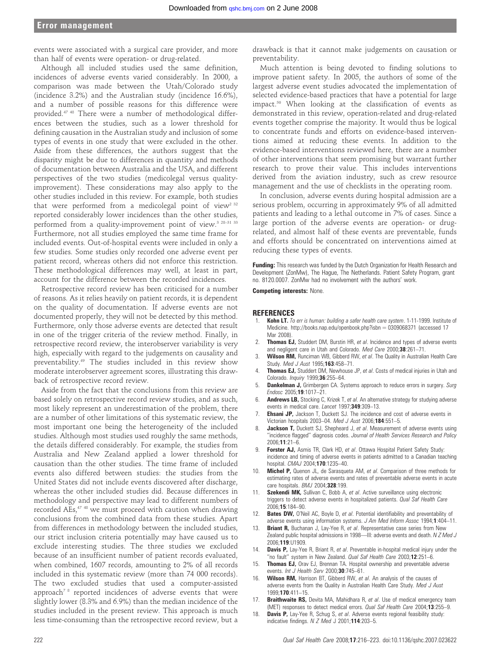events were associated with a surgical care provider, and more than half of events were operation- or drug-related.

Although all included studies used the same definition, incidences of adverse events varied considerably. In 2000, a comparison was made between the Utah/Colorado study (incidence 3.2%) and the Australian study (incidence 16.6%), and a number of possible reasons for this difference were provided.47 48 There were a number of methodological differences between the studies, such as a lower threshold for defining causation in the Australian study and inclusion of some types of events in one study that were excluded in the other. Aside from these differences, the authors suggest that the disparity might be due to differences in quantity and methods of documentation between Australia and the USA, and different perspectives of the two studies (medicolegal versus qualityimprovement). These considerations may also apply to the other studies included in this review. For example, both studies that were performed from a medicolegal point of view<sup>2 32</sup> reported considerably lower incidences than the other studies, performed from a quality-improvement point of view.<sup>3 28-31 33</sup> Furthermore, not all studies employed the same time frame for included events. Out-of-hospital events were included in only a few studies. Some studies only recorded one adverse event per patient record, whereas others did not enforce this restriction. These methodological differences may well, at least in part, account for the difference between the recorded incidences.

Retrospective record review has been criticised for a number of reasons. As it relies heavily on patient records, it is dependent on the quality of documentation. If adverse events are not documented properly, they will not be detected by this method. Furthermore, only those adverse events are detected that result in one of the trigger criteria of the review method. Finally, in retrospective record review, the interobserver variability is very high, especially with regard to the judgements on causality and preventability.49 The studies included in this review show moderate interobserver agreement scores, illustrating this drawback of retrospective record review.

Aside from the fact that the conclusions from this review are based solely on retrospective record review studies, and as such, most likely represent an underestimation of the problem, there are a number of other limitations of this systematic review, the most important one being the heterogeneity of the included studies. Although most studies used roughly the same methods, the details differed considerably. For example, the studies from Australia and New Zealand applied a lower threshold for causation than the other studies. The time frame of included events also differed between studies: the studies from the United States did not include events discovered after discharge, whereas the other included studies did. Because differences in methodology and perspective may lead to different numbers of recorded AEs,47 48 we must proceed with caution when drawing conclusions from the combined data from these studies. Apart from differences in methodology between the included studies, our strict inclusion criteria potentially may have caused us to exclude interesting studies. The three studies we excluded because of an insufficient number of patient records evaluated, when combined, 1607 records, amounting to 2% of all records included in this systematic review (more than 74 000 records). The two excluded studies that used a computer-assisted approach<sup>78</sup> reported incidences of adverse events that were slightly lower (8.3% and 6.9%) than the median incidence of the studies included in the present review. This approach is much less time-consuming than the retrospective record review, but a

drawback is that it cannot make judgements on causation or preventability.

Much attention is being devoted to finding solutions to improve patient safety. In 2005, the authors of some of the largest adverse event studies advocated the implementation of selected evidence-based practices that have a potential for large impact.<sup>50</sup> When looking at the classification of events as demonstrated in this review, operation-related and drug-related events together comprise the majority. It would thus be logical to concentrate funds and efforts on evidence-based interventions aimed at reducing these events. In addition to the evidence-based interventions reviewed here, there are a number of other interventions that seem promising but warrant further research to prove their value. This includes interventions derived from the aviation industry, such as crew resource management and the use of checklists in the operating room.

In conclusion, adverse events during hospital admission are a serious problem, occurring in approximately 9% of all admitted patients and leading to a lethal outcome in 7% of cases. Since a large portion of the adverse events are operation- or drugrelated, and almost half of these events are preventable, funds and efforts should be concentrated on interventions aimed at reducing these types of events.

Funding: This research was funded by the Dutch Organization for Health Research and Development (ZonMw), The Hague, The Netherlands. Patient Safety Program, grant no. 8120.0007. ZonMw had no involvement with the authors' work.

Competing interests: None.

#### **REFERENCES**

- 1. Kohn LT. To err is human: building a safer health care system. 1-11-1999. Institute of Medicine. http://books.nap.edu/openbook.php?isbn =  $0309068371$  (accessed 17 Mar 2008)
- Thomas EJ, Studdert DM, Burstin HR, et al. Incidence and types of adverse events and negligent care in Utah and Colorado. Med Care 2000;38:261-71.
- 3. Wilson RM, Runciman WB, Gibberd RW, et al. The Quality in Australian Health Care Study. Med J Aust 1995;163:458-71.
- 4. **Thomas EJ,** Studdert DM, Newhouse JP, et al. Costs of medical injuries in Utah and Colorado. *Inquiry* 1999:36:255-64.
- 5. Dankelman J, Grimbergen CA. Systems approach to reduce errors in surgery. Surg Endosc 2005;19:1017–21.
- 6. Andrews LB, Stocking C, Krizek T, et al. An alternative strategy for studying adverse events in medical care. Lancet 1997;349:309-13.
- **Ehsani JP,** Jackson T, Duckett SJ. The incidence and cost of adverse events in Victorian hospitals 2003–04. Med J Aust 2006;184:551–5.
- 8. **Jackson T,** Duckett SJ, Shepheard J, et al. Measurement of adverse events using ''incidence flagged'' diagnosis codes. Journal of Health Services Research and Policy 2006;11:21–6.
- 9. Forster AJ, Asmis TR, Clark HD, et al. Ottawa Hospital Patient Safety Study: incidence and timing of adverse events in patients admitted to a Canadian teaching hospital. CMAJ 2004;170:1235–40.
- 10. **Michel P,** Quenon JL, de Sarasqueta AM, et al. Comparison of three methods for estimating rates of adverse events and rates of preventable adverse events in acute care hospitals. BMJ 2004;328:199.
- 11. Szekendi MK, Sullivan C, Bobb A, et al. Active surveillance using electronic triggers to detect adverse events in hospitalized patients. Qual Saf Health Care 2006;15:184–90.
- 12. Bates DW, O'Neil AC, Boyle D, et al. Potential identifiability and preventability of adverse events using information systems. J Am Med Inform Assoc 1994;1:404–11.
- 13. **Briant R,** Buchanan J, Lay-Yee R, et al. Representative case series from New Zealand public hospital admissions in 1998—III: adverse events and death. N Z Med J 2006;119:U1909.
- 14. **Davis P,** Lay-Yee R, Briant R, et al. Preventable in-hospital medical injury under the "no fault" system in New Zealand. Qual Saf Health Care 2003;12:251-6.
- 15. Thomas EJ, Orav EJ, Brennan TA. Hospital ownership and preventable adverse events. Int J Health Serv 2000;30:745-61.
- 16. Wilson RM, Harrison BT, Gibberd RW, et al. An analysis of the causes of adverse events from the Quality in Australian Health Care Study. Med J Aust 1999;170:411–15.
- 17. **Braithwaite RS,** Devita MA, Mahidhara R, et al. Use of medical emergency team (MET) responses to detect medical errors. Qual Saf Health Care 2004;13:255-9.
- 18. **Davis P,** Lay-Yee R, Schug S, et al. Adverse events regional feasibility study: indicative findings.  $N Z Med J 2001;114:203-5.$